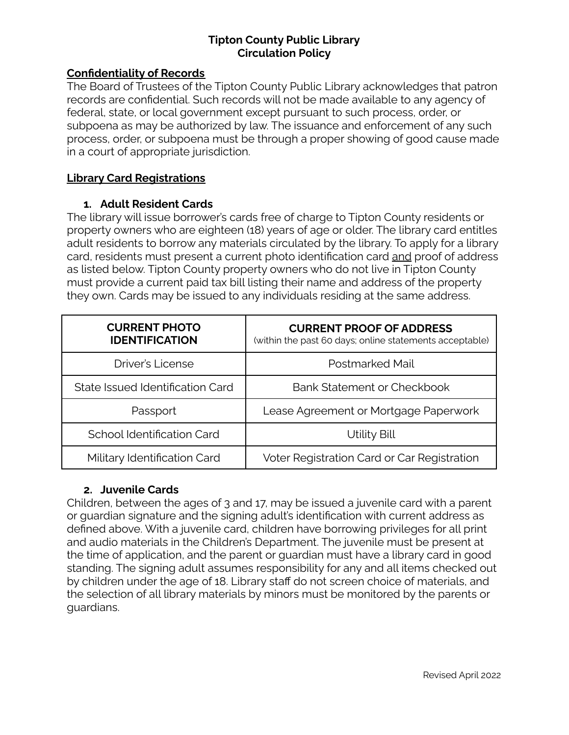### **Confidentiality of Records**

The Board of Trustees of the Tipton County Public Library acknowledges that patron records are confidential. Such records will not be made available to any agency of federal, state, or local government except pursuant to such process, order, or subpoena as may be authorized by law. The issuance and enforcement of any such process, order, or subpoena must be through a proper showing of good cause made in a court of appropriate jurisdiction.

# **Library Card Registrations**

# **1. Adult Resident Cards**

The library will issue borrower's cards free of charge to Tipton County residents or property owners who are eighteen (18) years of age or older. The library card entitles adult residents to borrow any materials circulated by the library. To apply for a library card, residents must present a current photo identification card and proof of address as listed below. Tipton County property owners who do not live in Tipton County must provide a current paid tax bill listing their name and address of the property they own. Cards may be issued to any individuals residing at the same address.

| <b>CURRENT PHOTO</b><br><b>IDENTIFICATION</b> | <b>CURRENT PROOF OF ADDRESS</b><br>(within the past 60 days; online statements acceptable) |
|-----------------------------------------------|--------------------------------------------------------------------------------------------|
| <b>Driver's License</b>                       | Postmarked Mail                                                                            |
| State Issued Identification Card              | Bank Statement or Checkbook                                                                |
| Passport                                      | Lease Agreement or Mortgage Paperwork                                                      |
| School Identification Card                    | Utility Bill                                                                               |
| Military Identification Card                  | Voter Registration Card or Car Registration                                                |

# **2. Juvenile Cards**

Children, between the ages of 3 and 17, may be issued a juvenile card with a parent or guardian signature and the signing adult's identification with current address as defined above. With a juvenile card, children have borrowing privileges for all print and audio materials in the Children's Department. The juvenile must be present at the time of application, and the parent or guardian must have a library card in good standing. The signing adult assumes responsibility for any and all items checked out by children under the age of 18. Library staff do not screen choice of materials, and the selection of all library materials by minors must be monitored by the parents or guardians.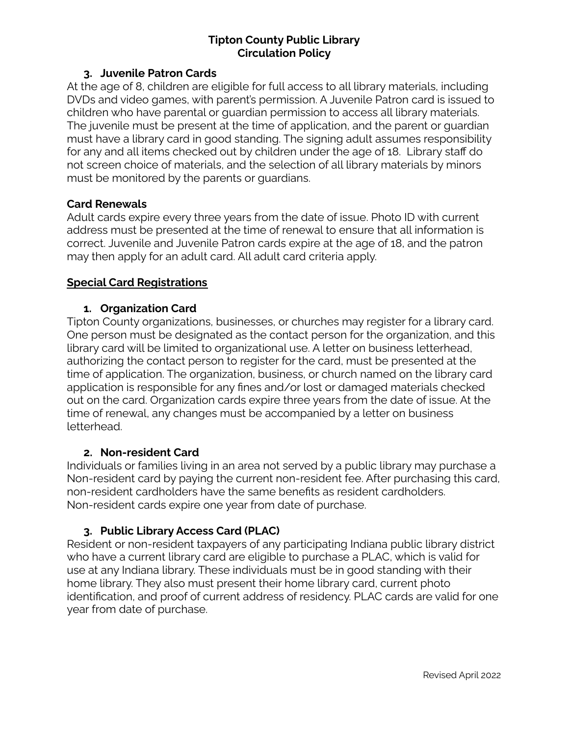### **3. Juvenile Patron Cards**

At the age of 8, children are eligible for full access to all library materials, including DVDs and video games, with parent's permission. A Juvenile Patron card is issued to children who have parental or guardian permission to access all library materials. The juvenile must be present at the time of application, and the parent or guardian must have a library card in good standing. The signing adult assumes responsibility for any and all items checked out by children under the age of 18. Library staff do not screen choice of materials, and the selection of all library materials by minors must be monitored by the parents or guardians.

# **Card Renewals**

Adult cards expire every three years from the date of issue. Photo ID with current address must be presented at the time of renewal to ensure that all information is correct. Juvenile and Juvenile Patron cards expire at the age of 18, and the patron may then apply for an adult card. All adult card criteria apply.

# **Special Card Registrations**

# **1. Organization Card**

Tipton County organizations, businesses, or churches may register for a library card. One person must be designated as the contact person for the organization, and this library card will be limited to organizational use. A letter on business letterhead, authorizing the contact person to register for the card, must be presented at the time of application. The organization, business, or church named on the library card application is responsible for any fines and/or lost or damaged materials checked out on the card. Organization cards expire three years from the date of issue. At the time of renewal, any changes must be accompanied by a letter on business letterhead.

#### **2. Non-resident Card**

Individuals or families living in an area not served by a public library may purchase a Non-resident card by paying the current non-resident fee. After purchasing this card, non-resident cardholders have the same benefits as resident cardholders. Non-resident cards expire one year from date of purchase.

# **3. Public Library Access Card (PLAC)**

Resident or non-resident taxpayers of any participating Indiana public library district who have a current library card are eligible to purchase a PLAC, which is valid for use at any Indiana library. These individuals must be in good standing with their home library. They also must present their home library card, current photo identification, and proof of current address of residency. PLAC cards are valid for one year from date of purchase.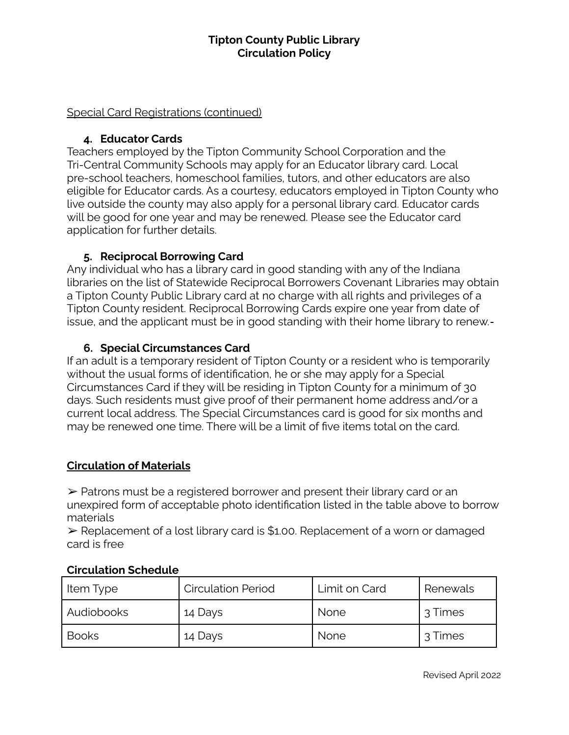### Special Card Registrations (continued)

### **4. Educator Cards**

Teachers employed by the Tipton Community School Corporation and the Tri-Central Community Schools may apply for an Educator library card. Local pre-school teachers, homeschool families, tutors, and other educators are also eligible for Educator cards. As a courtesy, educators employed in Tipton County who live outside the county may also apply for a personal library card. Educator cards will be good for one year and may be renewed. Please see the Educator card application for further details.

# **5. Reciprocal Borrowing Card**

Any individual who has a library card in good standing with any of the Indiana libraries on the list of Statewide Reciprocal Borrowers Covenant Libraries may obtain a Tipton County Public Library card at no charge with all rights and privileges of a Tipton County resident. Reciprocal Borrowing Cards expire one year from date of issue, and the applicant must be in good standing with their home library to renew.

# **6. Special Circumstances Card**

If an adult is a temporary resident of Tipton County or a resident who is temporarily without the usual forms of identification, he or she may apply for a Special Circumstances Card if they will be residing in Tipton County for a minimum of 30 days. Such residents must give proof of their permanent home address and/or a current local address. The Special Circumstances card is good for six months and may be renewed one time. There will be a limit of five items total on the card.

# **Circulation of Materials**

➢ Patrons must be a registered borrower and present their library card or an unexpired form of acceptable photo identification listed in the table above to borrow materials

➢ Replacement of a lost library card is \$1.00. Replacement of a worn or damaged card is free

| Item Type    | <b>Circulation Period</b> | Limit on Card | Renewals |
|--------------|---------------------------|---------------|----------|
| l Audiobooks | 14 Days                   | <b>None</b>   | 3 Times  |
| Books        | 14 Days                   | <b>None</b>   | 3 Times  |

# **Circulation Schedule**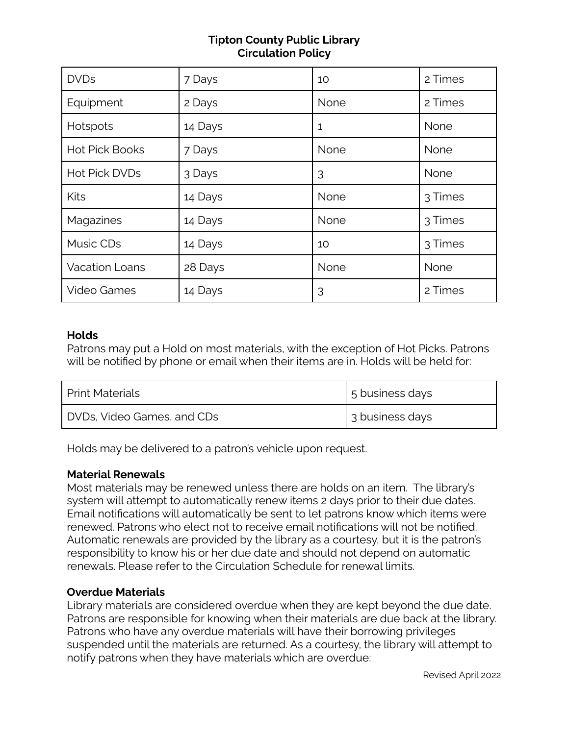| <b>DVDs</b>           | 7 Days  | 10   | 2 Times |
|-----------------------|---------|------|---------|
| Equipment             | 2 Days  | None | 2 Times |
| Hotspots              | 14 Days | 1    | None    |
| <b>Hot Pick Books</b> | 7 Days  | None | None    |
| Hot Pick DVDs         | 3 Days  | 3    | None    |
| Kits                  | 14 Days | None | 3 Times |
| Magazines             | 14 Days | None | 3 Times |
| Music CDs             | 14 Days | 10   | 3 Times |
| <b>Vacation Loans</b> | 28 Days | None | None    |
| <b>Video Games</b>    | 14 Days | 3    | 2 Times |

#### **Holds**

Patrons may put a Hold on most materials, with the exception of Hot Picks. Patrons will be notified by phone or email when their items are in. Holds will be held for:

| <b>Print Materials</b>     | 5 business days |
|----------------------------|-----------------|
| DVDs, Video Games, and CDs | 3 business days |

Holds may be delivered to a patron's vehicle upon request.

#### **Material Renewals**

Most materials may be renewed unless there are holds on an item. The library's system will attempt to automatically renew items 2 days prior to their due dates. Email notifications will automatically be sent to let patrons know which items were renewed. Patrons who elect not to receive email notifications will not be notified. Automatic renewals are provided by the library as a courtesy, but it is the patron's responsibility to know his or her due date and should not depend on automatic renewals. Please refer to the Circulation Schedule for renewal limits.

# **Overdue Materials**

Library materials are considered overdue when they are kept beyond the due date. Patrons are responsible for knowing when their materials are due back at the library. Patrons who have any overdue materials will have their borrowing privileges suspended until the materials are returned. As a courtesy, the library will attempt to notify patrons when they have materials which are overdue: